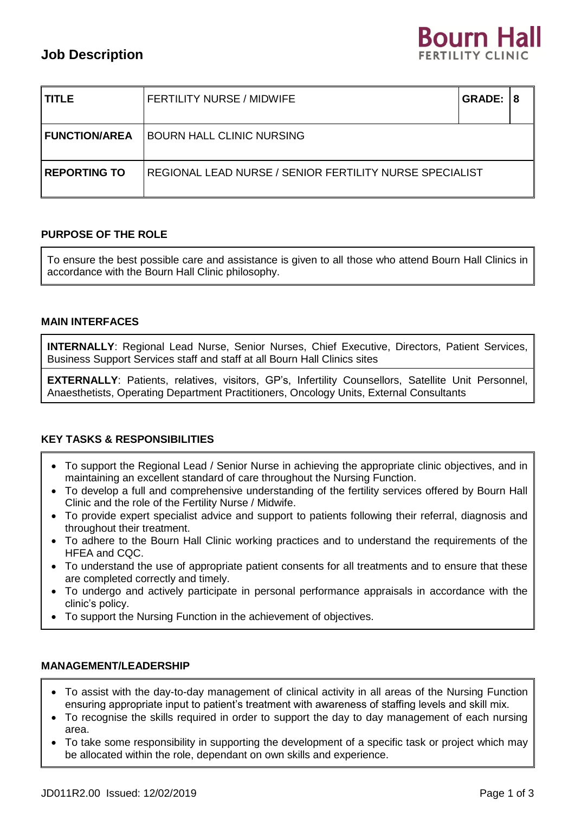# **Job Description**

|  | <b>Bourn Hall</b>       |  |
|--|-------------------------|--|
|  | <b>FERTILITY CLINIC</b> |  |

| <b>TITLE</b>           | <b>FERTILITY NURSE / MIDWIFE</b>                        | <b>GRADE: 1</b> | l 8 |  |
|------------------------|---------------------------------------------------------|-----------------|-----|--|
| <b>I FUNCTION/AREA</b> | <b>BOURN HALL CLINIC NURSING</b>                        |                 |     |  |
| <b>REPORTING TO</b>    | REGIONAL LEAD NURSE / SENIOR FERTILITY NURSE SPECIALIST |                 |     |  |

# **PURPOSE OF THE ROLE**

To ensure the best possible care and assistance is given to all those who attend Bourn Hall Clinics in accordance with the Bourn Hall Clinic philosophy.

## **MAIN INTERFACES**

**INTERNALLY**: Regional Lead Nurse, Senior Nurses, Chief Executive, Directors, Patient Services, Business Support Services staff and staff at all Bourn Hall Clinics sites

**EXTERNALLY**: Patients, relatives, visitors, GP's, Infertility Counsellors, Satellite Unit Personnel, Anaesthetists, Operating Department Practitioners, Oncology Units, External Consultants

## **KEY TASKS & RESPONSIBILITIES**

- To support the Regional Lead / Senior Nurse in achieving the appropriate clinic objectives, and in maintaining an excellent standard of care throughout the Nursing Function.
- To develop a full and comprehensive understanding of the fertility services offered by Bourn Hall Clinic and the role of the Fertility Nurse / Midwife.
- To provide expert specialist advice and support to patients following their referral, diagnosis and throughout their treatment.
- To adhere to the Bourn Hall Clinic working practices and to understand the requirements of the HFEA and CQC.
- To understand the use of appropriate patient consents for all treatments and to ensure that these are completed correctly and timely.
- To undergo and actively participate in personal performance appraisals in accordance with the clinic's policy.
- To support the Nursing Function in the achievement of objectives.

## **MANAGEMENT/LEADERSHIP**

- To assist with the day-to-day management of clinical activity in all areas of the Nursing Function ensuring appropriate input to patient's treatment with awareness of staffing levels and skill mix.
- To recognise the skills required in order to support the day to day management of each nursing area.
- To take some responsibility in supporting the development of a specific task or project which may be allocated within the role, dependant on own skills and experience.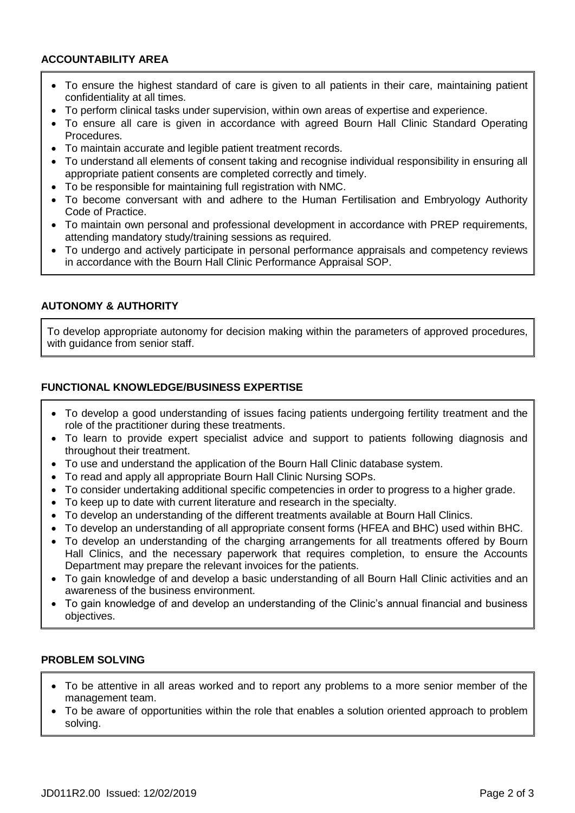# **ACCOUNTABILITY AREA**

- To ensure the highest standard of care is given to all patients in their care, maintaining patient confidentiality at all times.
- To perform clinical tasks under supervision, within own areas of expertise and experience.
- To ensure all care is given in accordance with agreed Bourn Hall Clinic Standard Operating Procedures.
- To maintain accurate and legible patient treatment records.
- To understand all elements of consent taking and recognise individual responsibility in ensuring all appropriate patient consents are completed correctly and timely.
- To be responsible for maintaining full registration with NMC.
- To become conversant with and adhere to the Human Fertilisation and Embryology Authority Code of Practice.
- To maintain own personal and professional development in accordance with PREP requirements, attending mandatory study/training sessions as required.
- To undergo and actively participate in personal performance appraisals and competency reviews in accordance with the Bourn Hall Clinic Performance Appraisal SOP.

# **AUTONOMY & AUTHORITY**

To develop appropriate autonomy for decision making within the parameters of approved procedures, with guidance from senior staff.

# **FUNCTIONAL KNOWLEDGE/BUSINESS EXPERTISE**

- To develop a good understanding of issues facing patients undergoing fertility treatment and the role of the practitioner during these treatments.
- To learn to provide expert specialist advice and support to patients following diagnosis and throughout their treatment.
- To use and understand the application of the Bourn Hall Clinic database system.
- To read and apply all appropriate Bourn Hall Clinic Nursing SOPs.
- To consider undertaking additional specific competencies in order to progress to a higher grade.
- To keep up to date with current literature and research in the specialty.
- To develop an understanding of the different treatments available at Bourn Hall Clinics.
- To develop an understanding of all appropriate consent forms (HFEA and BHC) used within BHC.
- To develop an understanding of the charging arrangements for all treatments offered by Bourn Hall Clinics, and the necessary paperwork that requires completion, to ensure the Accounts Department may prepare the relevant invoices for the patients.
- To gain knowledge of and develop a basic understanding of all Bourn Hall Clinic activities and an awareness of the business environment.
- To gain knowledge of and develop an understanding of the Clinic's annual financial and business objectives.

## **PROBLEM SOLVING**

- To be attentive in all areas worked and to report any problems to a more senior member of the management team.
- To be aware of opportunities within the role that enables a solution oriented approach to problem solving.